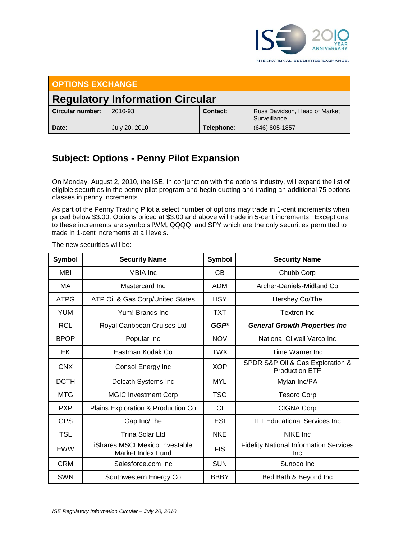

INTERNATIONAL SECURITIES EXCHANGE.

| <b>OPTIONS EXCHANGE</b>                |               |            |                                               |  |  |  |
|----------------------------------------|---------------|------------|-----------------------------------------------|--|--|--|
| <b>Regulatory Information Circular</b> |               |            |                                               |  |  |  |
| Circular number:                       | 2010-93       | Contact:   | Russ Davidson, Head of Market<br>Surveillance |  |  |  |
| Date:                                  | July 20, 2010 | Telephone: | (646) 805-1857                                |  |  |  |

## **Subject: Options - Penny Pilot Expansion**

On Monday, August 2, 2010, the ISE, in conjunction with the options industry, will expand the list of eligible securities in the penny pilot program and begin quoting and trading an additional 75 options classes in penny increments.

As part of the Penny Trading Pilot a select number of options may trade in 1-cent increments when priced below \$3.00. Options priced at \$3.00 and above will trade in 5-cent increments. Exceptions to these increments are symbols IWM, QQQQ, and SPY which are the only securities permitted to trade in 1-cent increments at all levels.

| <b>Symbol</b> | <b>Security Name</b>                                | Symbol      | <b>Security Name</b>                                      |
|---------------|-----------------------------------------------------|-------------|-----------------------------------------------------------|
| <b>MBI</b>    | <b>MBIA</b> Inc                                     | СB          | Chubb Corp                                                |
| MA            | Mastercard Inc.                                     | <b>ADM</b>  | Archer-Daniels-Midland Co                                 |
| <b>ATPG</b>   | ATP Oil & Gas Corp/United States                    | <b>HSY</b>  | Hershey Co/The                                            |
| <b>YUM</b>    | Yum! Brands Inc.                                    | TXT         | <b>Textron Inc</b>                                        |
| <b>RCL</b>    | Royal Caribbean Cruises Ltd                         | $GGP*$      | <b>General Growth Properties Inc</b>                      |
| <b>BPOP</b>   | Popular Inc                                         | <b>NOV</b>  | National Oilwell Varco Inc                                |
| EK            | Eastman Kodak Co                                    | <b>TWX</b>  | Time Warner Inc.                                          |
| <b>CNX</b>    | Consol Energy Inc                                   | <b>XOP</b>  | SPDR S&P Oil & Gas Exploration &<br><b>Production ETF</b> |
| <b>DCTH</b>   | Delcath Systems Inc                                 | <b>MYL</b>  | Mylan Inc/PA                                              |
| <b>MTG</b>    | <b>MGIC Investment Corp</b>                         | <b>TSO</b>  | <b>Tesoro Corp</b>                                        |
| <b>PXP</b>    | Plains Exploration & Production Co                  | <b>CI</b>   | <b>CIGNA Corp</b>                                         |
| <b>GPS</b>    | Gap Inc/The                                         | <b>ESI</b>  | <b>ITT Educational Services Inc.</b>                      |
| <b>TSL</b>    | Trina Solar Ltd                                     | <b>NKE</b>  | NIKE Inc                                                  |
| <b>EWW</b>    | iShares MSCI Mexico Investable<br>Market Index Fund | <b>FIS</b>  | <b>Fidelity National Information Services</b><br>Inc      |
| <b>CRM</b>    | Salesforce.com Inc.                                 | <b>SUN</b>  | Sunoco Inc                                                |
| <b>SWN</b>    | Southwestern Energy Co                              | <b>BBBY</b> | Bed Bath & Beyond Inc                                     |

The new securities will be: